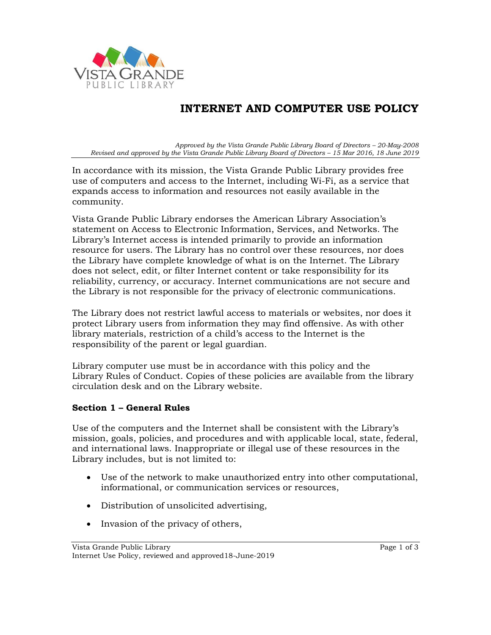

# **INTERNET AND COMPUTER USE POLICY**

*Approved by the Vista Grande Public Library Board of Directors – 20-May-2008 Revised and approved by the Vista Grande Public Library Board of Directors – 15 Mar 2016, 18 June 2019*

In accordance with its mission, the Vista Grande Public Library provides free use of computers and access to the Internet, including Wi-Fi, as a service that expands access to information and resources not easily available in the community.

Vista Grande Public Library endorses the American Library Association's statement on Access to Electronic Information, Services, and Networks. The Library's Internet access is intended primarily to provide an information resource for users. The Library has no control over these resources, nor does the Library have complete knowledge of what is on the Internet. The Library does not select, edit, or filter Internet content or take responsibility for its reliability, currency, or accuracy. Internet communications are not secure and the Library is not responsible for the privacy of electronic communications.

The Library does not restrict lawful access to materials or websites, nor does it protect Library users from information they may find offensive. As with other library materials, restriction of a child's access to the Internet is the responsibility of the parent or legal guardian.

Library computer use must be in accordance with this policy and the Library Rules of Conduct. Copies of these policies are available from the library circulation desk and on the Library website.

#### **Section 1 – General Rules**

Use of the computers and the Internet shall be consistent with the Library's mission, goals, policies, and procedures and with applicable local, state, federal, and international laws. Inappropriate or illegal use of these resources in the Library includes, but is not limited to:

- Use of the network to make unauthorized entry into other computational, informational, or communication services or resources,
- Distribution of unsolicited advertising,
- Invasion of the privacy of others,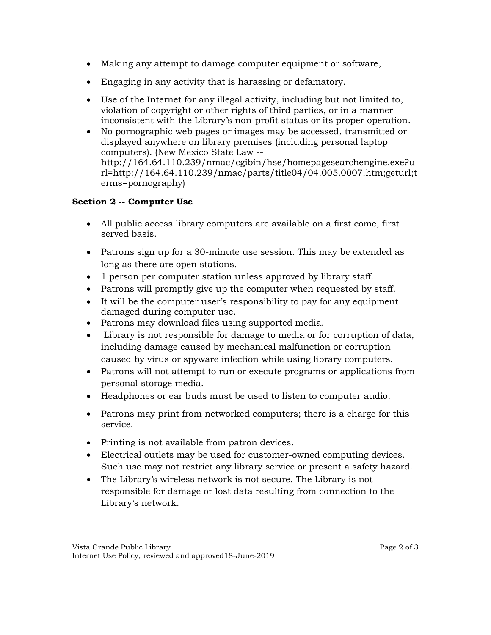- Making any attempt to damage computer equipment or software,
- Engaging in any activity that is harassing or defamatory.
- Use of the Internet for any illegal activity, including but not limited to, violation of copyright or other rights of third parties, or in a manner inconsistent with the Library's non-profit status or its proper operation.
- No pornographic web pages or images may be accessed, transmitted or displayed anywhere on library premises (including personal laptop computers). (New Mexico State Law - http://164.64.110.239/nmac/cgibin/hse/homepagesearchengine.exe?u rl=http://164.64.110.239/nmac/parts/title04/04.005.0007.htm;geturl;t erms=pornography)

# **Section 2 -- Computer Use**

- All public access library computers are available on a first come, first served basis.
- Patrons sign up for a 30-minute use session. This may be extended as long as there are open stations.
- 1 person per computer station unless approved by library staff.
- Patrons will promptly give up the computer when requested by staff.
- It will be the computer user's responsibility to pay for any equipment damaged during computer use.
- Patrons may download files using supported media.
- Library is not responsible for damage to media or for corruption of data, including damage caused by mechanical malfunction or corruption caused by virus or spyware infection while using library computers.
- Patrons will not attempt to run or execute programs or applications from personal storage media.
- Headphones or ear buds must be used to listen to computer audio.
- Patrons may print from networked computers; there is a charge for this service.
- Printing is not available from patron devices.
- Electrical outlets may be used for customer-owned computing devices. Such use may not restrict any library service or present a safety hazard.
- The Library's wireless network is not secure. The Library is not responsible for damage or lost data resulting from connection to the Library's network.